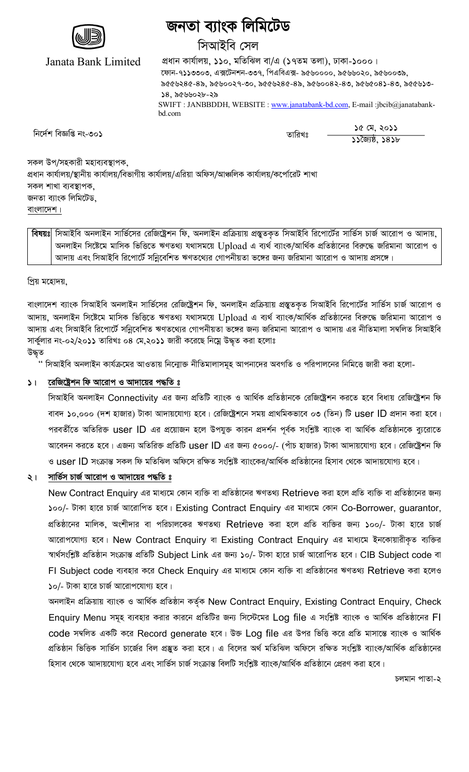

# জনতা ব্যাংক লিমিটেড

# সিআইবি সেল

Janata Bank Limited

প্ৰধান কাৰ্যালয়, ১১০, মতিঝিল বা/এ (১৭তম তলা), ঢাকা-১০০০।  $\overline{c}$ ফান-৭১১৩৩০৩, এক্সটেনশন-৩৩৭, পিএবিএক্স- ৯৫৬০০০০, ৯৫৬০২০, ৯৫৬০০৩৯,  $8669286-85, 8690029-90, 8669286-85, 8690082-89, 8696082-89, 866929-$ ১৪, ১৫৬৬০২৮-২৯ SWIFT : JANBBDDH, WEBSITE : www.janatabank-bd.com, E-mail :jbcib@janatabankbd.com

wb‡`©k weÁwß bs-301 ZvwiLt 15 †g, 2011

<u>১১লৈষ্ঠ, ১৪১৮</u>

সকল উপ/সহকারী মহাব্যবস্তাপক প্রধান কার্যালয়/স্থানীয় কার্যালয়/বিভাগীয় কার্যালয়/এরিয়া অফিস/আঞ্চলিক কার্যালয়/কর্পোরেট শাখা সকল শাখা ব্যবস্থাপক, জনতা ব্যাংক লিমিটেড, বাংলাদেশ।

**বিষয়ঃ** সিআইবি অনলাইন সার্ভিসের রেজিষ্ট্রেশন ফি. অনলাইন প্রক্রিয়ায় প্রস্তুতকত সিআইবি রিপোর্টের সার্ভিস চার্জ আরোপ ও আদায়, অনলাইন সিষ্টেমে মাসিক ভিত্তিতে ঋণতথ্য যথাসময়ে  $\sf Upload$  এ ব্যৰ্থ ব্যাংক/আৰ্থিক প্ৰতিষ্ঠানের বিরুদ্ধে জরিমানা আরোপ ও আদায় এবং সিআইবি রিপোর্টে সন্নিবেশিত ঋণতথ্যের গোপনীয়তা ভঙ্গের জন্য জরিমানা আরোপ ও আদায় প্রসঙ্গে।

প্ৰিয় মহোদয়,

বাংলাদেশ ব্যাংক সিআইবি অনলাইন সার্ভিসের রেজিষ্ট্রশন ফি, অনলাইন প্রক্রিয়ায় প্রস্তুতকৃত সিআইবি রিপোর্টের সার্ভিস চার্জ আরোপ ও আদায়, অনলাইন সিষ্টেমে মাসিক ভিত্তিতে ঋণতথ্য যথাসময়ে Upload এ ব্যৰ্থ ব্যাংক/আৰ্থিক প্ৰতিষ্ঠানের বিরুদ্ধে জরিমানা আরোপ ও আদায় এবং সিআইবি রিপোর্টে সন্নিবেশিত ঋণতথ্যের গোপনীয়তা ভঙ্গের জন্য জরিমানা আরোপ ও আদায় এর নীতিমালা সম্বলিত সিআইবি সার্কুলার নং-০২/২০১১ তারিখঃ ০৪ মে,২০১১ জারী করেছে নিম্নে উদ্ধৃত করা হলোঃ

উদ্ধৃত

.'' সিআইবি অনলাইন কাৰ্যক্ৰমের আওতায় নিন্মোক্ত নীতিমালাসমূহ আপনাদের অবগতি ও পরিপালনের নিমিত্তে জারী করা হলো-

# **১। রেজিষ্ট্রেশন ফি আরোপ ও আদায়ের পদ্ধতি ঃ**

সিআইবি অনলাইন Connectivity এর জন্য প্রতিটি ব্যাংক ও আর্থিক প্রতিষ্ঠানকে রেজিষ্ট্রেশন করতে হবে বিধায় রেজিষ্ট্রেশন ফি বাবদ ১০,০০০ (দশ হাজার) টাকা আদায়যোগ্য হবে। রেজিষ্ট্রেশনে সময় প্রাথমিকভাবে ০৩ (তিন) টি user ID প্রদান করা হবে। পরবর্তীতে অতিরিক্ত user ID এর প্রয়োজন হলে উপযুক্ত কারন প্রদর্শন পূর্বক সংশ্লিষ্ট ব্যাংক বা আর্থিক প্রতিষ্ঠানকে ব্যুরোতে আবেদন করতে হবে। এজন্য অতিরিক্ত প্রতিটি USer ID এর জন্য ৫০০০/- (পাঁচ হাজার) টাকা আদায়যোগ্য হবে। রেজিষ্ট্রেশন ফি ও user ID সংক্রান্ত সকল ফি মতিঝিল অফিসে রক্ষিত সংশ্লিষ্ট ব্যাংকের/আর্থিক প্রতিষ্ঠানের হিসাব থেকে আদায়যোগ্য হবে।

# $\frac{1}{2}$ । সার্ভিস চার্জ আরোপ ও আদায়ের পদ্ধতি ঃ

New Contract Enquiry এর মাধ্যমে কোন ব্যক্তি বা প্রতিষ্ঠানের ঋণতথ্য Retrieve করা হলে প্রতি ব্যক্তি বা প্রতিষ্ঠানের জন্য  $100/$ - টাকা হারে চার্জ আরোপিত হবে। Existing Contract Enquiry এর মাধ্যমে কোন Co-Borrower, guarantor, প্রতিষ্ঠানের মালিক, অংশীদার বা পরিচালকের ঋণতথ্য Retrieve করা হলে প্রতি ব্যক্তির জন্য ১০০/- টাকা হারে চার্জ আরোপযোগ্য হবে। New Contract Enquiry বা Existing Contract Enquiry এর মাধ্যমে ইনকোয়ারীকৃত ব্যক্তির স্বাৰ্থসংশ্লিষ্ট প্ৰতিষ্ঠান সংক্ৰান্ত প্ৰতিটি Subject Link এর জন্য ১০/- টাকা হারে চার্জ আরোপিত হবে। CIB Subject code বা FI Subject code ব্যবহার করে Check Enquiry এর মাধ্যমে কোন ব্যক্তি বা প্রতিষ্ঠানের ঋণতথ্য Retrieve করা হলেও ১০/- টাকা হারে চার্জ আরোপযোগ্য হবে।

অনলাইন প্ৰক্ৰিয়ায় ব্যাংক ও আৰ্থিক প্ৰতিষ্ঠান কৰ্তৃক New Contract Enquiry, Existing Contract Enquiry, Check Enquiry Menu সমূহ ব্যবহার করার কারনে প্রতিটির জন্য সিস্টেমের Log file এ সংশ্লিষ্ট ব্যাংক ও আর্থিক প্রতিষ্ঠানের Fl  $\cot$ e সম্বলিত একটি করে Record generate হবে। উক্ত Log file এর উপর ভিত্তি করে প্রতি মাসান্তে ব্যাংক ও আর্থিক প্রতিষ্ঠান ভিত্তিক সার্ভিস চার্জের বিল প্রস্তুত করা হবে। এ বিলের অর্থ মতিঝিল অফিসে রক্ষিত সংশ্লিষ্ট ব্যাংক/আর্থিক প্রতিষ্ঠানের হিসাব থেকে আদায়যোগ্য হবে এবং সার্ভিস চার্জ সংক্রান্ত বিলটি সংশ্লিষ্ট ব্যাংক/আর্থিক প্রতিষ্ঠানে প্রেরণ করা হবে।

চলমান পাতা-২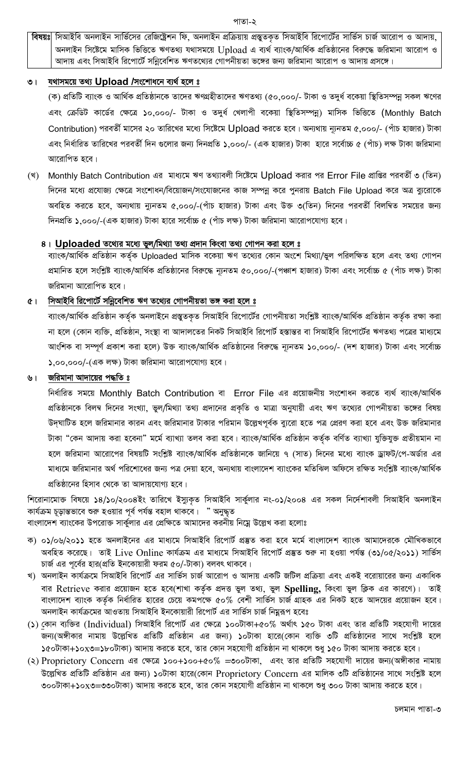বিষয়ঃ সিআইবি অনলাইন সার্ভিসের রেজিষ্ট্রেশন ফি, অনলাইন প্রক্রিয়ায় প্রস্তুতকৃত সিআইবি রিপোর্টের সার্ভিস চার্জ আরোপ ও আদায়, অনলাইন সিষ্টেমে মাসিক ভিত্তিতে ঋণতথ্য যথাসময়ে Upload এ ব্যর্থ ব্যাংক/আর্থিক প্রতিষ্ঠানের বিরুদ্ধে জরিমানা আরোপ ও আদায় এবং সিআইবি রিপোর্টে সন্নিবেশিত ঋণতথ্যের গোপনীয়তা ভঙ্গের জন্য জরিমানা আরোপ ও আদায় প্রসঙ্গে।

#### যথাসময়ে তথ্য Upload /সংশোধনে ব্যর্থ হলে ঃ  $\circ$  |

(ক) প্রতিটি ব্যাংক ও আর্থিক প্রতিষ্ঠানকে তাদের ঋণগ্রহীতাদের ঋণতথ্য (৫০,০০০/- টাকা ও তদুর্ধ বকেয়া স্থিতিসম্পন্ন সকল ঋণের এবং ক্রেডিট কার্ডের ক্ষেত্রে ১০,০০০/- টাকা ও তদুর্ধ খেলাপী বকেয়া স্থিতিসম্পন্ন) মাসিক ভিত্তিতে (Monthly Batch Contribution) পরবর্তী মাসের ২০ তারিখের মধ্যে সিষ্টেমে Upload করতে হবে। অন্যথায় ন্যূনতম ৫,০০০/- (পাঁচ হাজার) টাকা এবং নির্ধারিত তারিখের পরবর্তী দিন গুলোর জন্য দিনপ্রতি ১.০০০/- (এক হাজার) টাকা হারে সর্বোচ্চ ৫ (পাঁচ) লক্ষ টাকা জরিমানা আরোপিত হবে।

(খ) Monthly Batch Contribution এর মাধ্যমে ঋণ তথ্যাবলী সিষ্টেমে Upload করার পর Error File প্রাপ্তির পরবর্তী ৩ (তিন) দিনের মধ্যে প্রযোজ্য ক্ষেত্রে সংশোধন/বিয়োজন/সংযোজনের কাজ সম্পন্ন করে পুনরায় Batch File Upload করে অত্র ব্যরোকে অবহিত করতে হবে, অন্যথায় ন্যুনতম ৫,০০০/-(পাঁচ হাজার) টাকা এবং উক্ত ৩(তিন) দিনের পরবর্তী বিলম্বিত সময়ের জন্য দিনপ্রতি ১,০০০/-(এক হাজার) টাকা হারে সর্বোচ্চ ৫ (পাঁচ লক্ষ) টাকা জরিমানা আরোপযোগ্য হবে।

### 8। Uploaded তথ্যের মধ্যে ভুল/মিথ্যা তথ্য প্রদান কিংবা তথ্য গোপন করা হলে ঃ

ব্যাংক/আৰ্থিক প্ৰতিষ্ঠান কৰ্তৃক Uploaded মাসিক বকেয়া ঋণ তথ্যের কোন অংশে মিথ্যা/ভুল পরিলক্ষিত হলে এবং তথ্য গোপন প্রমানিত হলে সংশ্লিষ্ট ব্যাংক/আর্থিক প্রতিষ্ঠানের বিরুদ্ধে ন্যূনতম ৫০,০০০/-(পঞ্চাশ হাজার) টাকা এবং সর্বোচ্চ ৫ (পাঁচ লক্ষ) টাকা জরিমানা আরোপিত হবে।

#### সিআইবি রিপোর্টে সন্নিবেশিত ঋণ তথ্যের গোপনীয়তা ভঙ্গ করা হলে <u>৪</u>  $(1)$

ব্যাংক/আৰ্থিক প্ৰতিষ্ঠান কৰ্তৃক অনলাইনে প্ৰস্তুতকৃত সিআইবি রিপোৰ্টের গোপনীয়তা সংশ্লিষ্ট ব্যাংক/আৰ্থিক প্ৰতিষ্ঠান কৰ্তৃক রক্ষা করা না হলে (কোন ব্যক্তি, প্রতিষ্ঠান, সংস্থা বা আদালতের নিকট সিআইবি রিপোর্ট হস্তান্তর বা সিআইবি রিপোর্টের ঋণতথ্য পত্রের মাধ্যমে আংশিক বা সম্পূর্ণ প্রকাশ করা হলে) উক্ত ব্যাংক/আর্থিক প্রতিষ্ঠানের বিরুদ্ধে ন্যূনতম ১০,০০০/- (দশ হাজার) টাকা এবং সর্বোচ্চ  $\lambda$ ,০০,০০০/-(এক লক্ষ) টাকা জরিমানা আরোপযোগ্য হবে।

#### জরিমানা আদায়ের পদ্ধতি ঃ ৬।

নির্ধারিত সময়ে Monthly Batch Contribution বা Error File এর প্রয়োজনীয় সংশোধন করতে ব্যর্থ ব্যাংক/আর্থিক প্রতিষ্ঠানকে বিলম্ব দিনের সংখ্যা, ভুল/মিথ্যা তথ্য প্রদানের প্রকৃতি ও মাত্রা অনুযায়ী এবং ঋণ তথ্যের গোপনীয়তা ভঙ্গের বিষয় উদ্ঘাটিত হলে জরিমানার কারন এবং জরিমানার টাকার পরিমান উল্লেখপূর্বক ব্যুরো হতে পত্র প্রেরণ করা হবে এবং উক্ত জরিমানার টাকা "কেন আদায় করা হবেনা" মর্মে ব্যাখ্যা তলব করা হবে। ব্যাংক/আর্থিক প্রতিষ্ঠান কর্তৃক বর্ণিত ব্যাখ্যা যুক্তিযুক্ত প্রতীয়মান না হলে জরিমানা আরোপের বিষয়টি সংশ্লিষ্ট ব্যাংক/আর্থিক প্রতিষ্ঠানকে জানিয়ে ৭ (সাত) দিনের মধ্যে ব্যাংক ড্রাফট/পে-অর্ডার এর মাধ্যমে জরিমানার অর্থ পরিশোধের জন্য পত্র দেয়া হবে, অন্যথায় বাংলাদেশ ব্যাংকের মতিঝিল অফিসে রক্ষিত সংশ্লিষ্ট ব্যাংক/আর্থিক প্রতিষ্ঠানের হিসাব থেকে তা আদায়যোগ্য হবে।

শিরোনামোক্ত বিষয়ে ১৪/১০/২০০৪ইং তারিখে ইস্যুকৃত সিআইবি সার্কুলার নং-০১/২০০৪ এর সকল নির্দেশাবলী সিআইবি অনলাইন কাৰ্যক্ৰম চূড়ান্তভাবে শুরু হওয়ার পূর্ব পর্যন্ত বহাল থাকবে। " অনুদ্ধত বাংলাদেশ ব্যাংকের উপরোক্ত সার্কুলার এর প্রেক্ষিতে আমাদের করনীয় নিম্নে উল্লেখ করা হলোঃ

- ক) ০১/০৬/২০১১ হতে অনলাইনের এর মাধ্যমে সিআইবি রিপোর্ট প্রস্তুত করা হবে মর্মে বাংলাদেশ ব্যাংক আমাদেরকে মৌখিকভাবে অবহিত করেছে। তাই Live Online কার্যক্রম এর মাধ্যমে সিআইবি রিপোর্ট প্রস্তুত শুরু না হওয়া পর্যন্ত (৩১/০৫/২০১১) সার্ভিস চার্জ এর পূর্বের হার(প্রতি ইনকোয়ারী ফরম ৫০/-টাকা) বলবৎ থাকবে।
- খ) অনলাইন কার্যক্রমে সিআইবি রিপোর্ট এর সার্ভিস চার্জ আরোপ ও আদায় একটি জটিল প্রক্রিয়া এবং একই বরোয়ারের জন্য একাধিক বার Retrieve করার প্রয়োজন হতে হবে(শাখা কর্তৃক প্রদত্ত ভুল তথ্য, ভুল Spelling, কিংবা ভুল ক্লিক এর কারণে)। তাই বাংলাদেশ ব্যাংক কর্তৃক নির্ধারিত হারের চেয়ে কমপক্ষে ৫০% বেশী সার্ভিস চার্জ গ্রাহক এর নিকট হতে আদয়ের প্রয়োজন হবে। অনলাইন কার্যক্রমের আওতায় সিআইবি ইনকোয়ারী রিপোর্ট এর সার্ভিস চার্জ নিমুরূপ হবেঃ
- (১) কোন ব্যক্তির (Individual) সিআইবি রিপোর্ট এর ক্ষেত্রে ১০০টাকা+৫০% অর্থাৎ ১৫০ টাকা এবং তার প্রতিটি সহযোগী দায়ের জন্য(অঙ্গীকার নামায় উল্লেখিত প্রতিটি প্রতিষ্ঠান এর জন্য) ১০টাকা হারে(কোন ব্যক্তি ৩টি প্রতিষ্ঠানের সাথে সংশ্লিষ্ট হলে ১৫০টাকা+১০x৩=১৮০টাকা) আদায় করতে হবে, তার কোন সহযোগী প্রতিষ্ঠান না থাকলে শুধু ১৫০ টাকা আদায় করতে হবে।
- (২) Proprietory Concern এর ক্ষেত্রে ১০০+১০০+৫০% =৩০০টাকা, এবং তার প্রতিটি সহযোগী দায়ের জন্য(অঙ্গীকার নামায় উল্লেখিত প্রতিটি প্রতিষ্ঠান এর জন্য) ১০টাকা হারে(কোন Proprietory Concern এর মালিক ৩টি প্রতিষ্ঠানের সাথে সংশ্লিষ্ট হলে ৩০০টাকা+১০x৩=৩৩০টাকা) আদায় করতে হবে, তার কোন সহযোগী প্রতিষ্ঠান না থাকলে শুধু ৩০০ টাকা আদায় করতে হবে।